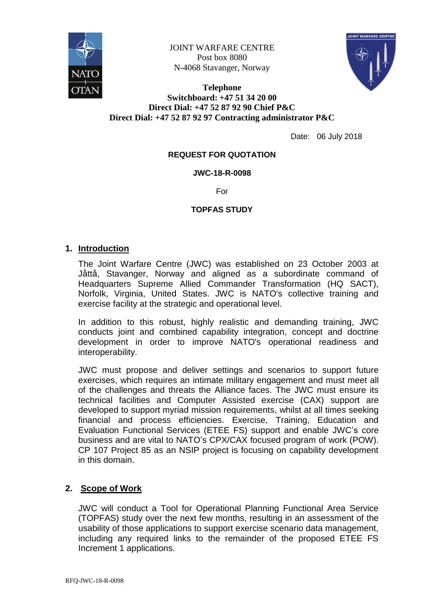

JOINT WARFARE CENTRE Post box 8080 N-4068 Stavanger, Norway



## **Telephone Switchboard: +47 51 34 20 00 Direct Dial: +47 52 87 92 90 Chief P&C Direct Dial: +47 52 87 92 97 Contracting administrator P&C**

Date: 06 July 2018

## **REQUEST FOR QUOTATION**

**JWC-18-R-0098**

For

## **TOPFAS STUDY**

## **1. Introduction**

The Joint Warfare Centre (JWC) was established on 23 October 2003 at Jåttå, Stavanger, Norway and aligned as a subordinate command of Headquarters Supreme Allied Commander Transformation (HQ SACT), Norfolk, Virginia, United States. JWC is NATO's collective training and exercise facility at the strategic and operational level.

In addition to this robust, highly realistic and demanding training, JWC conducts joint and combined capability integration, concept and doctrine development in order to improve NATO's operational readiness and interoperability.

JWC must propose and deliver settings and scenarios to support future exercises, which requires an intimate military engagement and must meet all of the challenges and threats the Alliance faces. The JWC must ensure its technical facilities and Computer Assisted exercise (CAX) support are developed to support myriad mission requirements, whilst at all times seeking financial and process efficiencies. Exercise, Training, Education and Evaluation Functional Services (ETEE FS) support and enable JWC's core business and are vital to NATO's CPX/CAX focused program of work (POW). CP 107 Project 85 as an NSIP project is focusing on capability development in this domain.

## **2. Scope of Work**

JWC will conduct a Tool for Operational Planning Functional Area Service (TOPFAS) study over the next few months, resulting in an assessment of the usability of those applications to support exercise scenario data management, including any required links to the remainder of the proposed ETEE FS Increment 1 applications.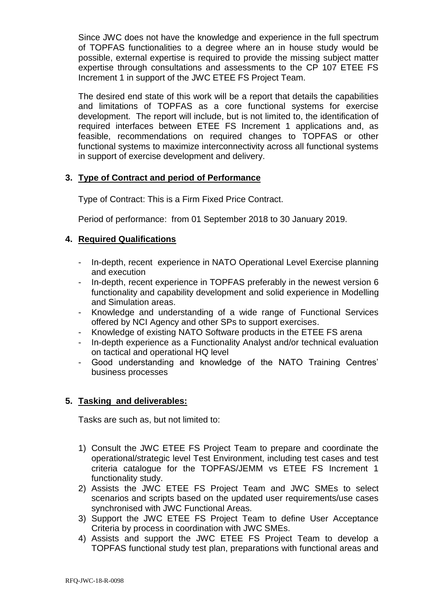Since JWC does not have the knowledge and experience in the full spectrum of TOPFAS functionalities to a degree where an in house study would be possible, external expertise is required to provide the missing subject matter expertise through consultations and assessments to the CP 107 ETEE FS Increment 1 in support of the JWC ETEE FS Project Team.

The desired end state of this work will be a report that details the capabilities and limitations of TOPFAS as a core functional systems for exercise development. The report will include, but is not limited to, the identification of required interfaces between ETEE FS Increment 1 applications and, as feasible, recommendations on required changes to TOPFAS or other functional systems to maximize interconnectivity across all functional systems in support of exercise development and delivery.

# **3. Type of Contract and period of Performance**

Type of Contract: This is a Firm Fixed Price Contract.

Period of performance: from 01 September 2018 to 30 January 2019.

## **4. Required Qualifications**

- In-depth, recent experience in NATO Operational Level Exercise planning and execution
- In-depth, recent experience in TOPFAS preferably in the newest version 6 functionality and capability development and solid experience in Modelling and Simulation areas.
- Knowledge and understanding of a wide range of Functional Services offered by NCI Agency and other SPs to support exercises.
- Knowledge of existing NATO Software products in the ETEE FS arena
- In-depth experience as a Functionality Analyst and/or technical evaluation on tactical and operational HQ level
- Good understanding and knowledge of the NATO Training Centres' business processes

## **5. Tasking and deliverables:**

Tasks are such as, but not limited to:

- 1) Consult the JWC ETEE FS Project Team to prepare and coordinate the operational/strategic level Test Environment, including test cases and test criteria catalogue for the TOPFAS/JEMM vs ETEE FS Increment 1 functionality study.
- 2) Assists the JWC ETEE FS Project Team and JWC SMEs to select scenarios and scripts based on the updated user requirements/use cases synchronised with JWC Functional Areas.
- 3) Support the JWC ETEE FS Project Team to define User Acceptance Criteria by process in coordination with JWC SMEs.
- 4) Assists and support the JWC ETEE FS Project Team to develop a TOPFAS functional study test plan, preparations with functional areas and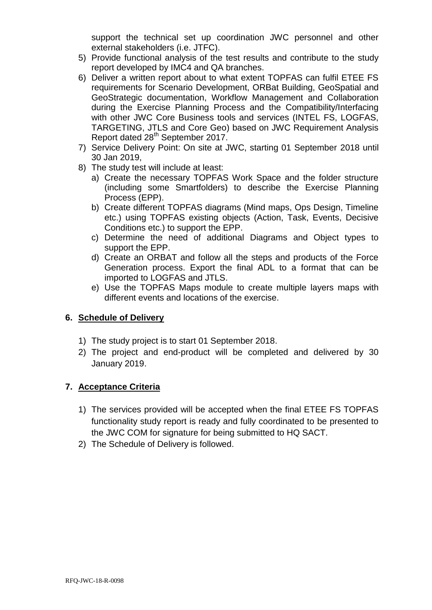support the technical set up coordination JWC personnel and other external stakeholders (i.e. JTFC).

- 5) Provide functional analysis of the test results and contribute to the study report developed by IMC4 and QA branches.
- 6) Deliver a written report about to what extent TOPFAS can fulfil ETEE FS requirements for Scenario Development, ORBat Building, GeoSpatial and GeoStrategic documentation, Workflow Management and Collaboration during the Exercise Planning Process and the Compatibility/Interfacing with other JWC Core Business tools and services (INTEL FS, LOGFAS, TARGETING, JTLS and Core Geo) based on JWC Requirement Analysis Report dated 28<sup>th</sup> September 2017.
- 7) Service Delivery Point: On site at JWC, starting 01 September 2018 until 30 Jan 2019,
- 8) The study test will include at least:
	- a) Create the necessary TOPFAS Work Space and the folder structure (including some Smartfolders) to describe the Exercise Planning Process (EPP).
	- b) Create different TOPFAS diagrams (Mind maps, Ops Design, Timeline etc.) using TOPFAS existing objects (Action, Task, Events, Decisive Conditions etc.) to support the EPP.
	- c) Determine the need of additional Diagrams and Object types to support the EPP.
	- d) Create an ORBAT and follow all the steps and products of the Force Generation process. Export the final ADL to a format that can be imported to LOGFAS and JTLS.
	- e) Use the TOPFAS Maps module to create multiple layers maps with different events and locations of the exercise.

# **6. Schedule of Delivery**

- 1) The study project is to start 01 September 2018.
- 2) The project and end-product will be completed and delivered by 30 January 2019.

# **7. Acceptance Criteria**

- 1) The services provided will be accepted when the final ETEE FS TOPFAS functionality study report is ready and fully coordinated to be presented to the JWC COM for signature for being submitted to HQ SACT.
- 2) The Schedule of Delivery is followed.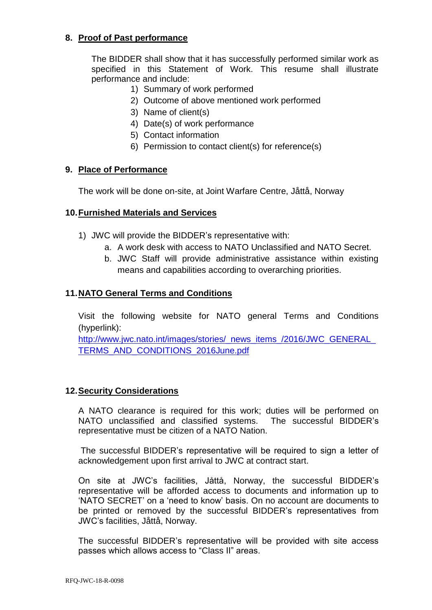## **8. Proof of Past performance**

The BIDDER shall show that it has successfully performed similar work as specified in this Statement of Work. This resume shall illustrate performance and include:

- 1) Summary of work performed
- 2) Outcome of above mentioned work performed
- 3) Name of client(s)
- 4) Date(s) of work performance
- 5) Contact information
- 6) Permission to contact client(s) for reference(s)

## **9. Place of Performance**

The work will be done on-site, at Joint Warfare Centre, Jåttå, Norway

## **10.Furnished Materials and Services**

- 1) JWC will provide the BIDDER's representative with:
	- a. A work desk with access to NATO Unclassified and NATO Secret.
	- b. JWC Staff will provide administrative assistance within existing means and capabilities according to overarching priorities.

## **11.NATO General Terms and Conditions**

Visit the following website for NATO general Terms and Conditions (hyperlink):

http://www.jwc.nato.int/images/stories/\_news\_items\_/2016/JWC\_GENERAL [TERMS\\_AND\\_CONDITIONS\\_2016June.pdf](http://www.jwc.nato.int/images/stories/_news_items_/2016/JWC_GENERAL_TERMS_AND_CONDITIONS_2016June.pdf)

## **12.Security Considerations**

A NATO clearance is required for this work; duties will be performed on NATO unclassified and classified systems. The successful BIDDER's representative must be citizen of a NATO Nation.

The successful BIDDER's representative will be required to sign a letter of acknowledgement upon first arrival to JWC at contract start.

On site at JWC's facilities, Jåttå, Norway, the successful BIDDER's representative will be afforded access to documents and information up to 'NATO SECRET' on a 'need to know' basis. On no account are documents to be printed or removed by the successful BIDDER's representatives from JWC's facilities, Jåttå, Norway.

The successful BIDDER's representative will be provided with site access passes which allows access to "Class II" areas.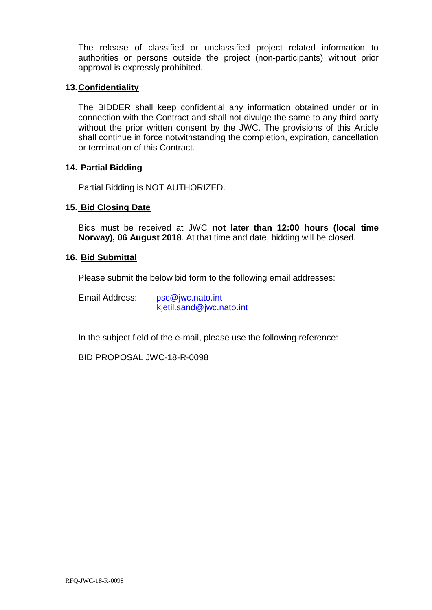The release of classified or unclassified project related information to authorities or persons outside the project (non-participants) without prior approval is expressly prohibited.

## **13.Confidentiality**

The BIDDER shall keep confidential any information obtained under or in connection with the Contract and shall not divulge the same to any third party without the prior written consent by the JWC. The provisions of this Article shall continue in force notwithstanding the completion, expiration, cancellation or termination of this Contract.

## **14. Partial Bidding**

Partial Bidding is NOT AUTHORIZED.

## **15. Bid Closing Date**

Bids must be received at JWC **not later than 12:00 hours (local time Norway), 06 August 2018**. At that time and date, bidding will be closed.

#### **16. Bid Submittal**

Please submit the below bid form to the following email addresses:

Email Address: [psc@jwc.nato.int](mailto:psc@jwc.nato.int) [kjetil.sand@jwc.nato.int](mailto:kjetil.sand@jwc.nato.int)

In the subject field of the e-mail, please use the following reference:

BID PROPOSAL JWC-18-R-0098